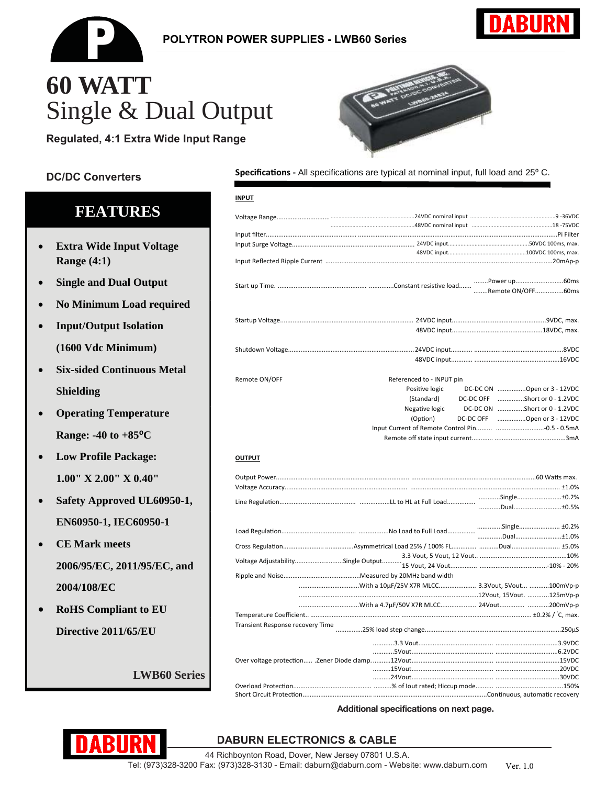

### **POLYTRON POWER SUPPLIES - LWB60 Series**



# 60 WATT Single & Dual Output

Regulated, 4:1 Extra Wide Input Range

### **DC/DC Converters**

# **FEATURES**

- **Extra Wide Input Voltage** Range (4:1)
- **Single and Dual Output**
- No Minimum Load required
- **Input/Output Isolation**  $\bullet$ (1600 Vdc Minimum)
- **Six-sided Continuous Metal**  $\bullet$ **Shielding**
- **Operating Temperature**  $\bullet$ Range: -40 to  $+85^{\circ}$ C
- **Low Profile Package:**  $\bullet$  $1.00''$  X  $2.00''$  X  $0.40''$
- Safety Approved UL60950-1, EN60950-1, IEC60950-1
- **CE Mark meets** 2006/95/EC, 2011/95/EC, and 2004/108/EC
- **RoHS** Compliant to EU Directive 2011/65/EU

**LWB60 Series** 



Specifications - All specifications are typical at nominal input, full load and 25° C.

| <b>INPUT</b>                     |                           |                               |  |  |  |
|----------------------------------|---------------------------|-------------------------------|--|--|--|
|                                  |                           |                               |  |  |  |
|                                  |                           |                               |  |  |  |
|                                  |                           |                               |  |  |  |
|                                  |                           |                               |  |  |  |
|                                  |                           |                               |  |  |  |
|                                  |                           |                               |  |  |  |
|                                  |                           |                               |  |  |  |
|                                  |                           |                               |  |  |  |
|                                  |                           |                               |  |  |  |
|                                  |                           |                               |  |  |  |
|                                  |                           |                               |  |  |  |
|                                  |                           |                               |  |  |  |
| Remote ON/OFF                    | Referenced to - INPUT pin |                               |  |  |  |
|                                  | Positive logic            | DC-DC ON Open or 3 - 12VDC    |  |  |  |
|                                  | (Standard)                | DC-DC OFF Short or 0 - 1.2VDC |  |  |  |
|                                  | Negative logic            | DC-DC ON Short or 0 - 1.2VDC  |  |  |  |
|                                  | (Option)                  | DC-DC OFF Open or 3 - 12VDC   |  |  |  |
|                                  |                           |                               |  |  |  |
|                                  |                           |                               |  |  |  |
| <b>OUTPUT</b>                    |                           |                               |  |  |  |
|                                  |                           |                               |  |  |  |
|                                  |                           |                               |  |  |  |
|                                  |                           |                               |  |  |  |
|                                  |                           |                               |  |  |  |
|                                  |                           |                               |  |  |  |
|                                  |                           |                               |  |  |  |
|                                  |                           |                               |  |  |  |
|                                  |                           |                               |  |  |  |
|                                  |                           |                               |  |  |  |
|                                  |                           |                               |  |  |  |
|                                  |                           |                               |  |  |  |
|                                  |                           |                               |  |  |  |
|                                  |                           |                               |  |  |  |
| Transient Response recovery Time |                           |                               |  |  |  |
|                                  |                           |                               |  |  |  |
|                                  |                           |                               |  |  |  |

| Short Circuit Protection Continuous automatic recover |  |
|-------------------------------------------------------|--|

Additional specifications on next page.

## **DABURN ELECTRONICS & CABLE**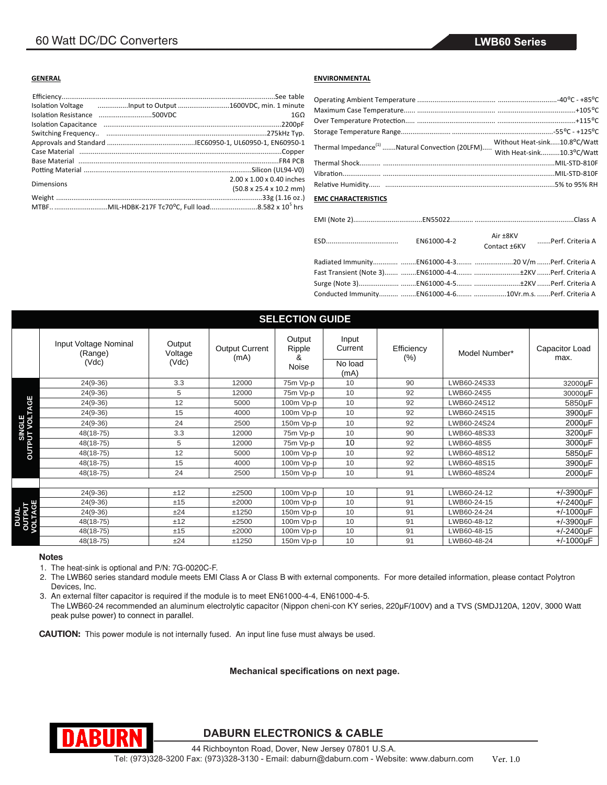#### **GENERAL**

| Isolation Voltage manufacture to Output manufacture and 1600VDC, min. 1 minute |                                             |
|--------------------------------------------------------------------------------|---------------------------------------------|
|                                                                                | $1 \text{G} \Omega$                         |
|                                                                                |                                             |
|                                                                                |                                             |
|                                                                                |                                             |
|                                                                                |                                             |
|                                                                                |                                             |
|                                                                                |                                             |
| Dimensions                                                                     | 2.00 x 1.00 x 0.40 inches                   |
|                                                                                | $(50.8 \times 25.4 \times 10.2 \text{ mm})$ |
|                                                                                |                                             |
| MTBFMIL-HDBK-217F Tc70°C, Full load8.582 x 10 <sup>5</sup> hrs                 |                                             |

#### **ENVIRONMENTAL**

#### **EMC CHARACTERISTICS**

|                                                           |  | Contact ±6KV Perf. Criteria A |
|-----------------------------------------------------------|--|-------------------------------|
|                                                           |  |                               |
|                                                           |  |                               |
|                                                           |  |                               |
| Conducted Immunity EN61000-4-6 10Vr.m.s. Perf. Criteria A |  |                               |

| <b>SELECTION GUIDE</b>         |                                           |                            |                               |                                |                                     |                       |               |                        |
|--------------------------------|-------------------------------------------|----------------------------|-------------------------------|--------------------------------|-------------------------------------|-----------------------|---------------|------------------------|
|                                | Input Voltage Nominal<br>(Range)<br>(Vdc) | Output<br>Voltage<br>(Vdc) | <b>Output Current</b><br>(mA) | Output<br>Ripple<br>8<br>Noise | Input<br>Current<br>No load<br>(mA) | Efficiency<br>$(\% )$ | Model Number* | Capacitor Load<br>max. |
|                                | $24(9-36)$                                | 3.3                        | 12000                         | 75m Vp-p                       | 10                                  | 90                    | LWB60-24S33   | 32000µF                |
|                                | $24(9-36)$                                | 5                          | 12000                         | 75m Vp-p                       | 10                                  | 92                    | LWB60-24S5    | 30000µF                |
| ⊌                              | $24(9-36)$                                | 12                         | 5000                          | 100m Vp-p                      | 10                                  | 92                    | LWB60-24S12   | 5850µF                 |
|                                | $24(9-36)$                                | 15                         | 4000                          | 100m Vp-p                      | 10                                  | 92                    | LWB60-24S15   | 3900µF                 |
| <b>SINGLE<br/>OUTPUT VOLTA</b> | $24(9-36)$                                | 24                         | 2500                          | 150m Vp-p                      | 10                                  | 92                    | LWB60-24S24   | 2000µF                 |
|                                | 48(18-75)                                 | 3.3                        | 12000                         | 75m Vp-p                       | 10                                  | 90                    | LWB60-48S33   | 3200µF                 |
|                                | 48(18-75)                                 | 5                          | 12000                         | 75m Vp-p                       | 10                                  | 92                    | LWB60-48S5    | 3000µF                 |
|                                | 48(18-75)                                 | 12                         | 5000                          | 100m Vp-p                      | 10                                  | 92                    | LWB60-48S12   | 5850µF                 |
|                                | 48(18-75)                                 | 15                         | 4000                          | 100m Vp-p                      | 10                                  | 92                    | LWB60-48S15   | 3900µF                 |
|                                | 48(18-75)                                 | 24                         | 2500                          | 150m Vp-p                      | 10                                  | 91                    | LWB60-48S24   | 2000µF                 |
|                                |                                           |                            |                               |                                |                                     |                       |               |                        |
| DUAL<br>OUTPUT<br>VOLTAGE      | $24(9-36)$                                | ±12                        | ±2500                         | 100m Vp-p                      | 10                                  | 91                    | LWB60-24-12   | $+/-3900 \mu F$        |
|                                | $24(9-36)$                                | ±15                        | ±2000                         | 100m Vp-p                      | 10                                  | 91                    | LWB60-24-15   | $+/-2400 \mu F$        |
|                                | $24(9-36)$                                | ±24                        | ±1250                         | 150m Vp-p                      | 10                                  | 91                    | LWB60-24-24   | $+/-1000\mu F$         |
|                                | 48(18-75)                                 | ±12                        | ±2500                         | 100m Vp-p                      | 10                                  | 91                    | LWB60-48-12   | $+/-3900\mu F$         |
|                                | 48(18-75)                                 | ±15                        | ±2000                         | 100m Vp-p                      | 10                                  | 91                    | LWB60-48-15   | $+/-2400 \mu F$        |
|                                | 48(18-75)                                 | ±24                        | ±1250                         | 150m Vp-p                      | 10                                  | 91                    | LWB60-48-24   | $+/-1000\mu F$         |

#### **Notes**

1. The heat-sink is optional and P/N: 7G-0020C-F.

2. The LWB60 series standard module meets EMI Class A or Class B with external components. For more detailed information, please contact Polytron Devices, Inc.

3. An external filter capacitor is required if the module is to meet EN61000-4-4, EN61000-4-5. The LWB60-24 recommended an aluminum electrolytic capacitor (Nippon cheni-con KY series, 220uF/100V) and a TVS (SMDJ120A, 120V, 3000 Watt peak pulse power) to connect in parallel.

**CAUTION:** This power module is not internally fused. An input line fuse must always be used.

**Mechanical specifications on next page.** 



**DABURN ELECTRONICS & CABLE**